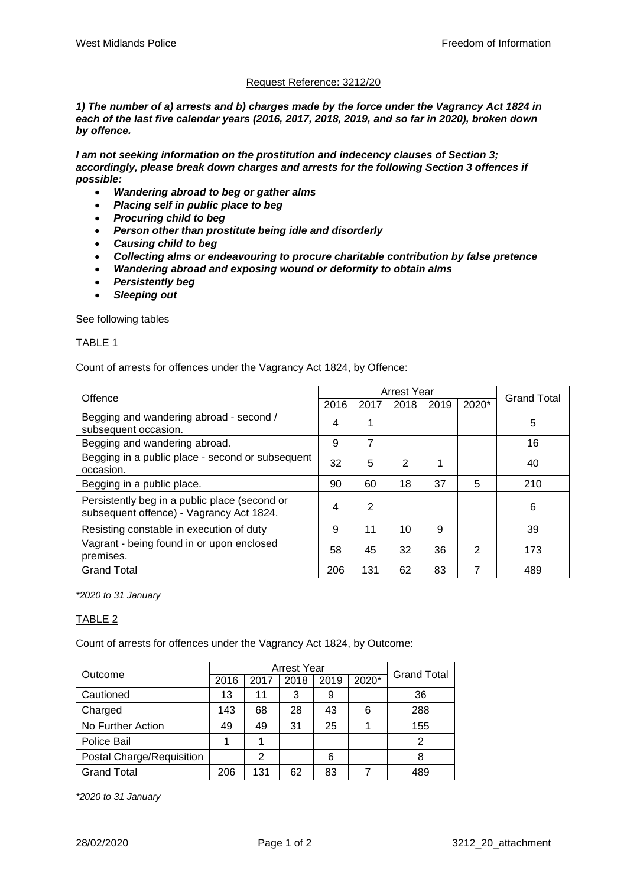# Request Reference: 3212/20

*1) The number of a) arrests and b) charges made by the force under the Vagrancy Act 1824 in each of the last five calendar years (2016, 2017, 2018, 2019, and so far in 2020), broken down by offence.*

*I am not seeking information on the prostitution and indecency clauses of Section 3; accordingly, please break down charges and arrests for the following Section 3 offences if possible:*

- *Wandering abroad to beg or gather alms*
- *Placing self in public place to beg*
- *Procuring child to beg*
- *Person other than prostitute being idle and disorderly*
- *Causing child to beg*
- *Collecting alms or endeavouring to procure charitable contribution by false pretence*
- *Wandering abroad and exposing wound or deformity to obtain alms*
- *Persistently beg*
- *Sleeping out*

See following tables

#### TABLE 1

Count of arrests for offences under the Vagrancy Act 1824, by Offence:

| Offence                                                                                   | <b>Arrest Year</b> |                |      |      |       |                    |
|-------------------------------------------------------------------------------------------|--------------------|----------------|------|------|-------|--------------------|
|                                                                                           | 2016               | 2017           | 2018 | 2019 | 2020* | <b>Grand Total</b> |
| Begging and wandering abroad - second /<br>subsequent occasion.                           | 4                  |                |      |      |       | 5                  |
| Begging and wandering abroad.                                                             | 9                  | 7              |      |      |       | 16                 |
| Begging in a public place - second or subsequent<br>occasion.                             | 32                 | 5              | 2    |      |       | 40                 |
| Begging in a public place.                                                                | 90                 | 60             | 18   | 37   | 5     | 210                |
| Persistently beg in a public place (second or<br>subsequent offence) - Vagrancy Act 1824. | 4                  | $\overline{2}$ |      |      |       | 6                  |
| Resisting constable in execution of duty                                                  | 9                  | 11             | 10   | 9    |       | 39                 |
| Vagrant - being found in or upon enclosed<br>premises.                                    | 58                 | 45             | 32   | 36   | 2     | 173                |
| <b>Grand Total</b>                                                                        | 206                | 131            | 62   | 83   | 7     | 489                |

*\*2020 to 31 January*

## TABLE 2

Count of arrests for offences under the Vagrancy Act 1824, by Outcome:

| Outcome                   | <b>Arrest Year</b> |      |      |      |       | <b>Grand Total</b> |
|---------------------------|--------------------|------|------|------|-------|--------------------|
|                           | 2016               | 2017 | 2018 | 2019 | 2020* |                    |
| Cautioned                 | 13                 | 11   | 3    | 9    |       | 36                 |
| Charged                   | 143                | 68   | 28   | 43   | 6     | 288                |
| No Further Action         | 49                 | 49   | 31   | 25   |       | 155                |
| Police Bail               |                    |      |      |      |       | 2                  |
| Postal Charge/Requisition |                    | 2    |      | 6    |       | 8                  |
| <b>Grand Total</b>        | 206                | 131  | 62   | 83   |       | 489                |

*\*2020 to 31 January*